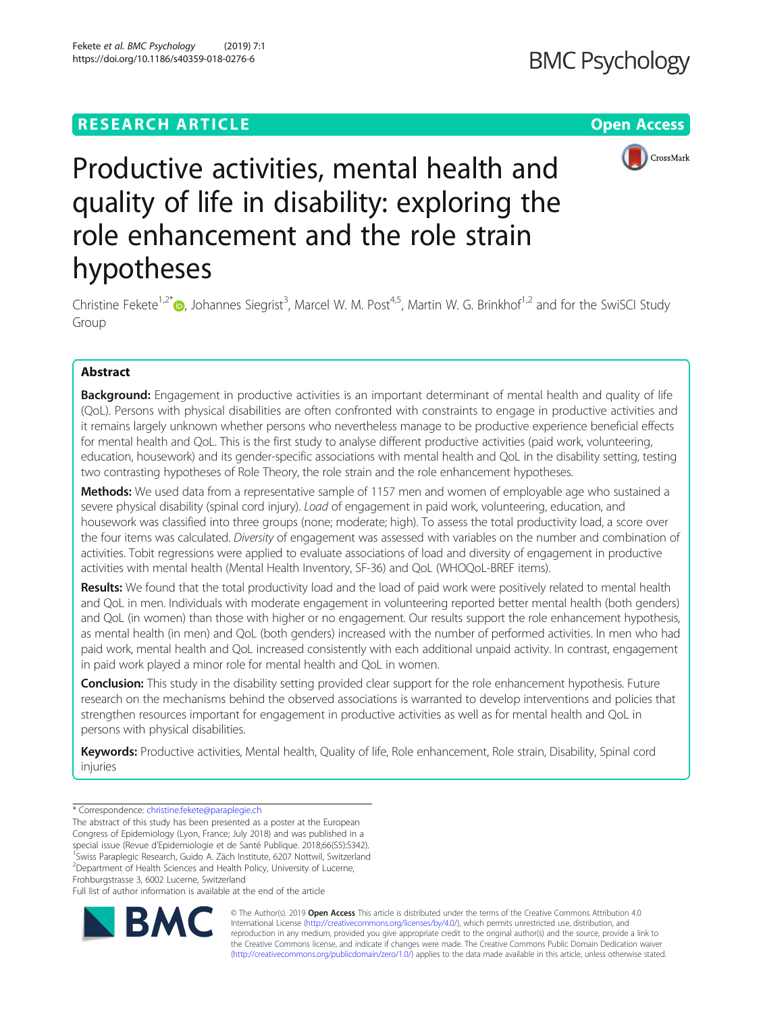# **RESEARCH ARTICLE Example 2014 12:30 The Contract of Contract ACCESS**



# Productive activities, mental health and quality of life in disability: exploring the role enhancement and the role strain hypotheses

Christine Fekete<sup>1,2[\\*](http://orcid.org/0000-0002-3753-3017)</sup>®, Johannes Siegrist<sup>3</sup>, Marcel W. M. Post<sup>4,5</sup>, Martin W. G. Brinkhof<sup>1,2</sup> and for the SwiSCI Study Group

# Abstract

**Background:** Engagement in productive activities is an important determinant of mental health and quality of life (QoL). Persons with physical disabilities are often confronted with constraints to engage in productive activities and it remains largely unknown whether persons who nevertheless manage to be productive experience beneficial effects for mental health and QoL. This is the first study to analyse different productive activities (paid work, volunteering, education, housework) and its gender-specific associations with mental health and QoL in the disability setting, testing two contrasting hypotheses of Role Theory, the role strain and the role enhancement hypotheses.

Methods: We used data from a representative sample of 1157 men and women of employable age who sustained a severe physical disability (spinal cord injury). Load of engagement in paid work, volunteering, education, and housework was classified into three groups (none; moderate; high). To assess the total productivity load, a score over the four items was calculated. Diversity of engagement was assessed with variables on the number and combination of activities. Tobit regressions were applied to evaluate associations of load and diversity of engagement in productive activities with mental health (Mental Health Inventory, SF-36) and QoL (WHOQoL-BREF items).

Results: We found that the total productivity load and the load of paid work were positively related to mental health and QoL in men. Individuals with moderate engagement in volunteering reported better mental health (both genders) and QoL (in women) than those with higher or no engagement. Our results support the role enhancement hypothesis, as mental health (in men) and QoL (both genders) increased with the number of performed activities. In men who had paid work, mental health and QoL increased consistently with each additional unpaid activity. In contrast, engagement in paid work played a minor role for mental health and QoL in women.

Conclusion: This study in the disability setting provided clear support for the role enhancement hypothesis. Future research on the mechanisms behind the observed associations is warranted to develop interventions and policies that strengthen resources important for engagement in productive activities as well as for mental health and QoL in persons with physical disabilities.

Keywords: Productive activities, Mental health, Quality of life, Role enhancement, Role strain, Disability, Spinal cord injuries

\* Correspondence: [christine.fekete@paraplegie.ch](mailto:christine.fekete@paraplegie.ch)

The abstract of this study has been presented as a poster at the European Congress of Epidemiology (Lyon, France; July 2018) and was published in a special issue (Revue d'Epidemiologie et de Santé Publique. 2018;66(S5):S342). <sup>1</sup> <sup>1</sup>Swiss Paraplegic Research, Guido A. Zäch Institute, 6207 Nottwil, Switzerland <sup>2</sup> Department of Health Sciences and Health Policy, University of Lucerne, Frohburgstrasse 3, 6002 Lucerne, Switzerland

Full list of author information is available at the end of the article



© The Author(s). 2019 **Open Access** This article is distributed under the terms of the Creative Commons Attribution 4.0 International License [\(http://creativecommons.org/licenses/by/4.0/](http://creativecommons.org/licenses/by/4.0/)), which permits unrestricted use, distribution, and reproduction in any medium, provided you give appropriate credit to the original author(s) and the source, provide a link to the Creative Commons license, and indicate if changes were made. The Creative Commons Public Domain Dedication waiver [\(http://creativecommons.org/publicdomain/zero/1.0/](http://creativecommons.org/publicdomain/zero/1.0/)) applies to the data made available in this article, unless otherwise stated.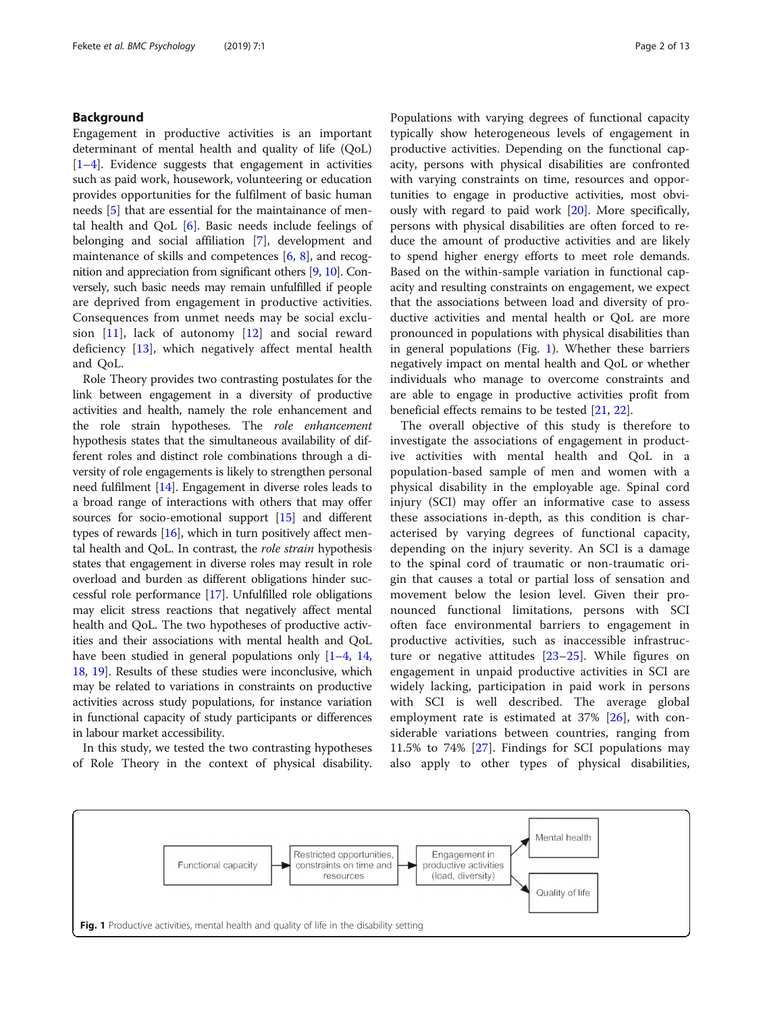# Background

Engagement in productive activities is an important determinant of mental health and quality of life (QoL)  $[1-4]$  $[1-4]$  $[1-4]$  $[1-4]$ . Evidence suggests that engagement in activities such as paid work, housework, volunteering or education provides opportunities for the fulfilment of basic human needs [\[5](#page-11-0)] that are essential for the maintainance of mental health and QoL [[6\]](#page-11-0). Basic needs include feelings of belonging and social affiliation [[7](#page-11-0)], development and maintenance of skills and competences [[6,](#page-11-0) [8\]](#page-11-0), and recognition and appreciation from significant others [\[9,](#page-11-0) [10\]](#page-11-0). Conversely, such basic needs may remain unfulfilled if people are deprived from engagement in productive activities. Consequences from unmet needs may be social exclusion [\[11](#page-11-0)], lack of autonomy [\[12](#page-11-0)] and social reward deficiency [[13\]](#page-11-0), which negatively affect mental health and QoL.

Role Theory provides two contrasting postulates for the link between engagement in a diversity of productive activities and health, namely the role enhancement and the role strain hypotheses. The role enhancement hypothesis states that the simultaneous availability of different roles and distinct role combinations through a diversity of role engagements is likely to strengthen personal need fulfilment [\[14\]](#page-11-0). Engagement in diverse roles leads to a broad range of interactions with others that may offer sources for socio-emotional support [\[15\]](#page-11-0) and different types of rewards [\[16](#page-11-0)], which in turn positively affect mental health and QoL. In contrast, the role strain hypothesis states that engagement in diverse roles may result in role overload and burden as different obligations hinder successful role performance [\[17\]](#page-11-0). Unfulfilled role obligations may elicit stress reactions that negatively affect mental health and QoL. The two hypotheses of productive activities and their associations with mental health and QoL have been studied in general populations only [[1](#page-11-0)-[4](#page-11-0), [14](#page-11-0), [18](#page-11-0), [19\]](#page-11-0). Results of these studies were inconclusive, which may be related to variations in constraints on productive activities across study populations, for instance variation in functional capacity of study participants or differences in labour market accessibility.

In this study, we tested the two contrasting hypotheses of Role Theory in the context of physical disability.

Populations with varying degrees of functional capacity typically show heterogeneous levels of engagement in productive activities. Depending on the functional capacity, persons with physical disabilities are confronted with varying constraints on time, resources and opportunities to engage in productive activities, most obviously with regard to paid work [[20\]](#page-11-0). More specifically, persons with physical disabilities are often forced to reduce the amount of productive activities and are likely to spend higher energy efforts to meet role demands. Based on the within-sample variation in functional capacity and resulting constraints on engagement, we expect that the associations between load and diversity of productive activities and mental health or QoL are more pronounced in populations with physical disabilities than in general populations (Fig. 1). Whether these barriers negatively impact on mental health and QoL or whether individuals who manage to overcome constraints and are able to engage in productive activities profit from beneficial effects remains to be tested [\[21](#page-11-0), [22](#page-11-0)].

The overall objective of this study is therefore to investigate the associations of engagement in productive activities with mental health and QoL in a population-based sample of men and women with a physical disability in the employable age. Spinal cord injury (SCI) may offer an informative case to assess these associations in-depth, as this condition is characterised by varying degrees of functional capacity, depending on the injury severity. An SCI is a damage to the spinal cord of traumatic or non-traumatic origin that causes a total or partial loss of sensation and movement below the lesion level. Given their pronounced functional limitations, persons with SCI often face environmental barriers to engagement in productive activities, such as inaccessible infrastructure or negative attitudes [[23](#page-11-0)–[25\]](#page-11-0). While figures on engagement in unpaid productive activities in SCI are widely lacking, participation in paid work in persons with SCI is well described. The average global employment rate is estimated at 37% [\[26](#page-11-0)], with considerable variations between countries, ranging from 11.5% to 74% [\[27](#page-11-0)]. Findings for SCI populations may also apply to other types of physical disabilities,

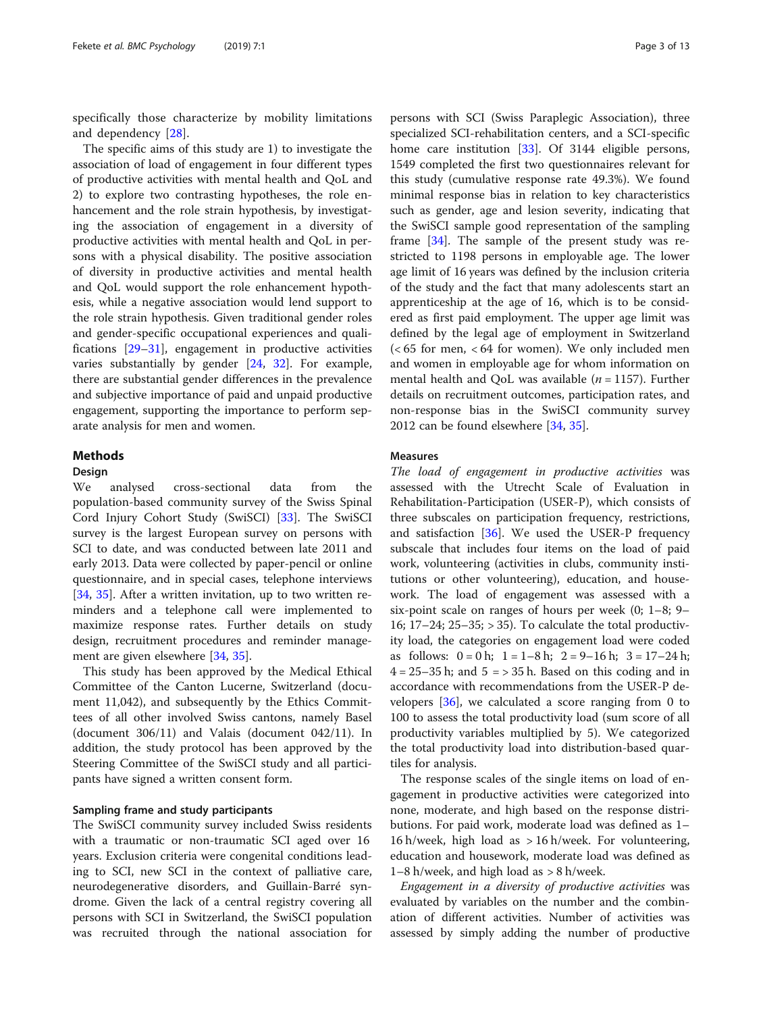specifically those characterize by mobility limitations and dependency [\[28](#page-11-0)].

The specific aims of this study are 1) to investigate the association of load of engagement in four different types of productive activities with mental health and QoL and 2) to explore two contrasting hypotheses, the role enhancement and the role strain hypothesis, by investigating the association of engagement in a diversity of productive activities with mental health and QoL in persons with a physical disability. The positive association of diversity in productive activities and mental health and QoL would support the role enhancement hypothesis, while a negative association would lend support to the role strain hypothesis. Given traditional gender roles and gender-specific occupational experiences and qualifications [[29](#page-11-0)–[31\]](#page-11-0), engagement in productive activities varies substantially by gender [\[24](#page-11-0), [32](#page-11-0)]. For example, there are substantial gender differences in the prevalence and subjective importance of paid and unpaid productive engagement, supporting the importance to perform separate analysis for men and women.

# Methods

#### Design

We analysed cross-sectional data from the population-based community survey of the Swiss Spinal Cord Injury Cohort Study (SwiSCI) [\[33](#page-11-0)]. The SwiSCI survey is the largest European survey on persons with SCI to date, and was conducted between late 2011 and early 2013. Data were collected by paper-pencil or online questionnaire, and in special cases, telephone interviews [[34,](#page-11-0) [35\]](#page-11-0). After a written invitation, up to two written reminders and a telephone call were implemented to maximize response rates. Further details on study design, recruitment procedures and reminder management are given elsewhere [[34](#page-11-0), [35](#page-11-0)].

This study has been approved by the Medical Ethical Committee of the Canton Lucerne, Switzerland (document 11,042), and subsequently by the Ethics Committees of all other involved Swiss cantons, namely Basel (document 306/11) and Valais (document 042/11). In addition, the study protocol has been approved by the Steering Committee of the SwiSCI study and all participants have signed a written consent form.

### Sampling frame and study participants

The SwiSCI community survey included Swiss residents with a traumatic or non-traumatic SCI aged over 16 years. Exclusion criteria were congenital conditions leading to SCI, new SCI in the context of palliative care, neurodegenerative disorders, and Guillain-Barré syndrome. Given the lack of a central registry covering all persons with SCI in Switzerland, the SwiSCI population was recruited through the national association for persons with SCI (Swiss Paraplegic Association), three specialized SCI-rehabilitation centers, and a SCI-specific home care institution [[33](#page-11-0)]. Of 3144 eligible persons, 1549 completed the first two questionnaires relevant for this study (cumulative response rate 49.3%). We found minimal response bias in relation to key characteristics such as gender, age and lesion severity, indicating that the SwiSCI sample good representation of the sampling frame [[34\]](#page-11-0). The sample of the present study was restricted to 1198 persons in employable age. The lower age limit of 16 years was defined by the inclusion criteria of the study and the fact that many adolescents start an apprenticeship at the age of 16, which is to be considered as first paid employment. The upper age limit was defined by the legal age of employment in Switzerland (< 65 for men, < 64 for women). We only included men and women in employable age for whom information on mental health and QoL was available  $(n = 1157)$ . Further details on recruitment outcomes, participation rates, and non-response bias in the SwiSCI community survey 2012 can be found elsewhere [[34](#page-11-0), [35](#page-11-0)].

# Measures

The load of engagement in productive activities was assessed with the Utrecht Scale of Evaluation in Rehabilitation-Participation (USER-P), which consists of three subscales on participation frequency, restrictions, and satisfaction  $[36]$  $[36]$ . We used the USER-P frequency subscale that includes four items on the load of paid work, volunteering (activities in clubs, community institutions or other volunteering), education, and housework. The load of engagement was assessed with a six-point scale on ranges of hours per week (0; 1–8; 9– 16; 17–24; 25–35; > 35). To calculate the total productivity load, the categories on engagement load were coded as follows:  $0 = 0$  h;  $1 = 1-8$  h;  $2 = 9-16$  h;  $3 = 17-24$  h;  $4 = 25 - 35$  h; and  $5 = 35$  h. Based on this coding and in accordance with recommendations from the USER-P developers [[36\]](#page-11-0), we calculated a score ranging from 0 to 100 to assess the total productivity load (sum score of all productivity variables multiplied by 5). We categorized the total productivity load into distribution-based quartiles for analysis.

The response scales of the single items on load of engagement in productive activities were categorized into none, moderate, and high based on the response distributions. For paid work, moderate load was defined as 1– 16 h/week, high load as > 16 h/week. For volunteering, education and housework, moderate load was defined as 1–8 h/week, and high load as > 8 h/week.

Engagement in a diversity of productive activities was evaluated by variables on the number and the combination of different activities. Number of activities was assessed by simply adding the number of productive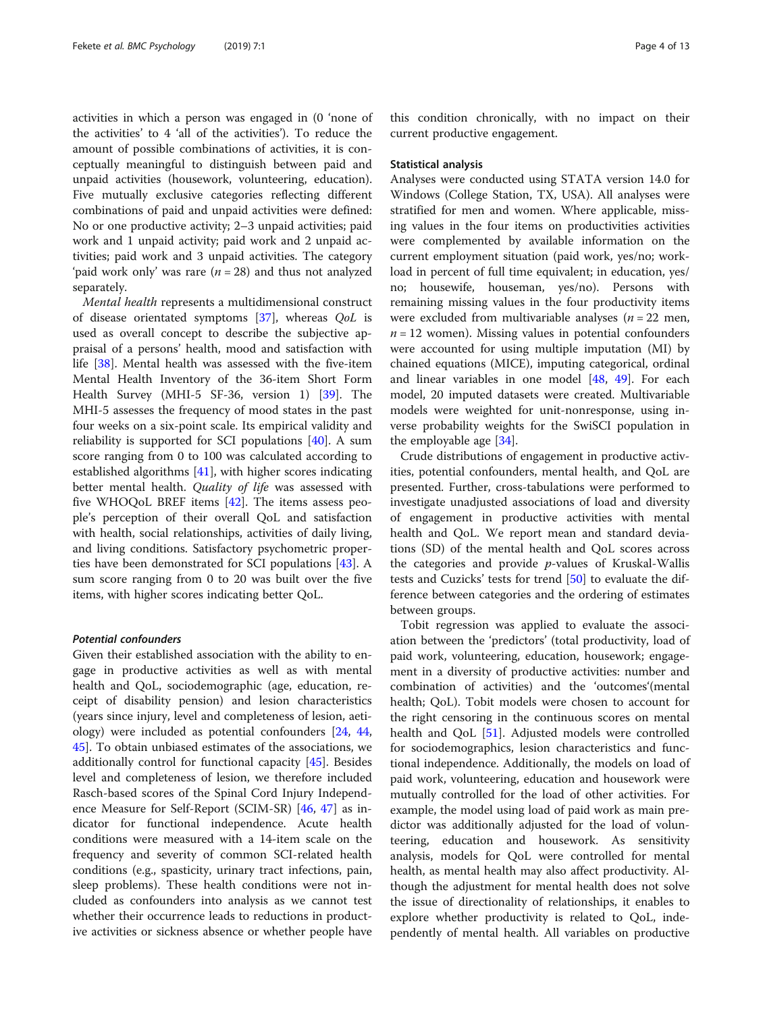activities in which a person was engaged in (0 'none of the activities' to 4 'all of the activities'). To reduce the amount of possible combinations of activities, it is conceptually meaningful to distinguish between paid and unpaid activities (housework, volunteering, education). Five mutually exclusive categories reflecting different combinations of paid and unpaid activities were defined: No or one productive activity; 2–3 unpaid activities; paid work and 1 unpaid activity; paid work and 2 unpaid activities; paid work and 3 unpaid activities. The category 'paid work only' was rare  $(n = 28)$  and thus not analyzed separately.

Mental health represents a multidimensional construct of disease orientated symptoms [\[37](#page-11-0)], whereas QoL is used as overall concept to describe the subjective appraisal of a persons' health, mood and satisfaction with life [\[38](#page-11-0)]. Mental health was assessed with the five-item Mental Health Inventory of the 36-item Short Form Health Survey (MHI-5 SF-36, version 1) [\[39\]](#page-11-0). The MHI-5 assesses the frequency of mood states in the past four weeks on a six-point scale. Its empirical validity and reliability is supported for SCI populations [\[40](#page-11-0)]. A sum score ranging from 0 to 100 was calculated according to established algorithms [\[41\]](#page-11-0), with higher scores indicating better mental health. Quality of life was assessed with five WHOQoL BREF items [[42](#page-11-0)]. The items assess people's perception of their overall QoL and satisfaction with health, social relationships, activities of daily living, and living conditions. Satisfactory psychometric properties have been demonstrated for SCI populations [\[43](#page-11-0)]. A sum score ranging from 0 to 20 was built over the five items, with higher scores indicating better QoL.

# Potential confounders

Given their established association with the ability to engage in productive activities as well as with mental health and QoL, sociodemographic (age, education, receipt of disability pension) and lesion characteristics (years since injury, level and completeness of lesion, aetiology) were included as potential confounders [[24,](#page-11-0) [44](#page-11-0), [45\]](#page-11-0). To obtain unbiased estimates of the associations, we additionally control for functional capacity [[45](#page-11-0)]. Besides level and completeness of lesion, we therefore included Rasch-based scores of the Spinal Cord Injury Independence Measure for Self-Report (SCIM-SR) [[46,](#page-11-0) [47](#page-11-0)] as indicator for functional independence. Acute health conditions were measured with a 14-item scale on the frequency and severity of common SCI-related health conditions (e.g., spasticity, urinary tract infections, pain, sleep problems). These health conditions were not included as confounders into analysis as we cannot test whether their occurrence leads to reductions in productive activities or sickness absence or whether people have

this condition chronically, with no impact on their current productive engagement.

#### Statistical analysis

Analyses were conducted using STATA version 14.0 for Windows (College Station, TX, USA). All analyses were stratified for men and women. Where applicable, missing values in the four items on productivities activities were complemented by available information on the current employment situation (paid work, yes/no; workload in percent of full time equivalent; in education, yes/ no; housewife, houseman, yes/no). Persons with remaining missing values in the four productivity items were excluded from multivariable analyses ( $n = 22$  men,  $n = 12$  women). Missing values in potential confounders were accounted for using multiple imputation (MI) by chained equations (MICE), imputing categorical, ordinal and linear variables in one model [[48](#page-11-0), [49\]](#page-11-0). For each model, 20 imputed datasets were created. Multivariable models were weighted for unit-nonresponse, using inverse probability weights for the SwiSCI population in the employable age [\[34](#page-11-0)].

Crude distributions of engagement in productive activities, potential confounders, mental health, and QoL are presented. Further, cross-tabulations were performed to investigate unadjusted associations of load and diversity of engagement in productive activities with mental health and QoL. We report mean and standard deviations (SD) of the mental health and QoL scores across the categories and provide  $p$ -values of Kruskal-Wallis tests and Cuzicks' tests for trend [\[50\]](#page-11-0) to evaluate the difference between categories and the ordering of estimates between groups.

Tobit regression was applied to evaluate the association between the 'predictors' (total productivity, load of paid work, volunteering, education, housework; engagement in a diversity of productive activities: number and combination of activities) and the 'outcomes'(mental health; QoL). Tobit models were chosen to account for the right censoring in the continuous scores on mental health and QoL [\[51](#page-11-0)]. Adjusted models were controlled for sociodemographics, lesion characteristics and functional independence. Additionally, the models on load of paid work, volunteering, education and housework were mutually controlled for the load of other activities. For example, the model using load of paid work as main predictor was additionally adjusted for the load of volunteering, education and housework. As sensitivity analysis, models for QoL were controlled for mental health, as mental health may also affect productivity. Although the adjustment for mental health does not solve the issue of directionality of relationships, it enables to explore whether productivity is related to QoL, independently of mental health. All variables on productive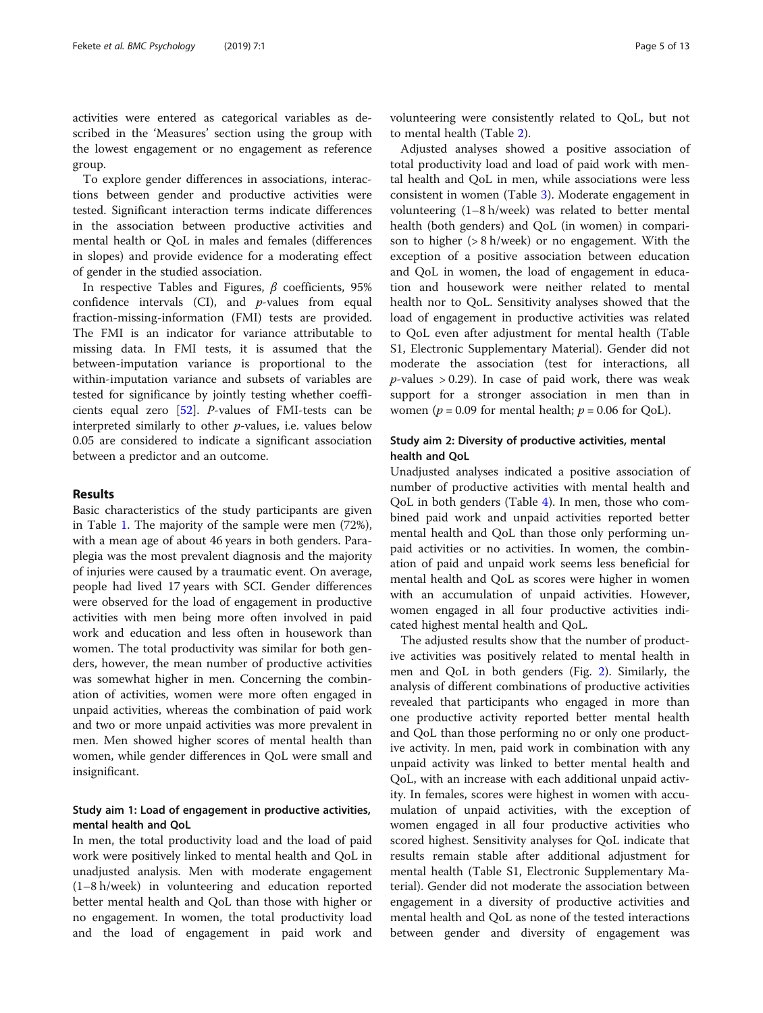activities were entered as categorical variables as described in the 'Measures' section using the group with the lowest engagement or no engagement as reference group.

To explore gender differences in associations, interactions between gender and productive activities were tested. Significant interaction terms indicate differences in the association between productive activities and mental health or QoL in males and females (differences in slopes) and provide evidence for a moderating effect of gender in the studied association.

In respective Tables and Figures,  $β$  coefficients, 95% confidence intervals (CI), and  $p$ -values from equal fraction-missing-information (FMI) tests are provided. The FMI is an indicator for variance attributable to missing data. In FMI tests, it is assumed that the between-imputation variance is proportional to the within-imputation variance and subsets of variables are tested for significance by jointly testing whether coefficients equal zero  $[52]$  $[52]$ . *P*-values of FMI-tests can be interpreted similarly to other  $p$ -values, i.e. values below 0.05 are considered to indicate a significant association between a predictor and an outcome.

# Results

Basic characteristics of the study participants are given in Table [1](#page-5-0). The majority of the sample were men (72%), with a mean age of about 46 years in both genders. Paraplegia was the most prevalent diagnosis and the majority of injuries were caused by a traumatic event. On average, people had lived 17 years with SCI. Gender differences were observed for the load of engagement in productive activities with men being more often involved in paid work and education and less often in housework than women. The total productivity was similar for both genders, however, the mean number of productive activities was somewhat higher in men. Concerning the combination of activities, women were more often engaged in unpaid activities, whereas the combination of paid work and two or more unpaid activities was more prevalent in men. Men showed higher scores of mental health than women, while gender differences in QoL were small and insignificant.

# Study aim 1: Load of engagement in productive activities, mental health and QoL

In men, the total productivity load and the load of paid work were positively linked to mental health and QoL in unadjusted analysis. Men with moderate engagement (1–8 h/week) in volunteering and education reported better mental health and QoL than those with higher or no engagement. In women, the total productivity load and the load of engagement in paid work and volunteering were consistently related to QoL, but not to mental health (Table [2](#page-6-0)).

Adjusted analyses showed a positive association of total productivity load and load of paid work with mental health and QoL in men, while associations were less consistent in women (Table [3](#page-7-0)). Moderate engagement in volunteering (1–8 h/week) was related to better mental health (both genders) and QoL (in women) in comparison to higher (> 8 h/week) or no engagement. With the exception of a positive association between education and QoL in women, the load of engagement in education and housework were neither related to mental health nor to QoL. Sensitivity analyses showed that the load of engagement in productive activities was related to QoL even after adjustment for mental health (Table S1, Electronic Supplementary Material). Gender did not moderate the association (test for interactions, all  $p$ -values  $> 0.29$ ). In case of paid work, there was weak support for a stronger association in men than in women ( $p = 0.09$  for mental health;  $p = 0.06$  for QoL).

# Study aim 2: Diversity of productive activities, mental health and QoL

Unadjusted analyses indicated a positive association of number of productive activities with mental health and QoL in both genders (Table [4](#page-8-0)). In men, those who combined paid work and unpaid activities reported better mental health and QoL than those only performing unpaid activities or no activities. In women, the combination of paid and unpaid work seems less beneficial for mental health and QoL as scores were higher in women with an accumulation of unpaid activities. However, women engaged in all four productive activities indicated highest mental health and QoL.

The adjusted results show that the number of productive activities was positively related to mental health in men and QoL in both genders (Fig. [2](#page-8-0)). Similarly, the analysis of different combinations of productive activities revealed that participants who engaged in more than one productive activity reported better mental health and QoL than those performing no or only one productive activity. In men, paid work in combination with any unpaid activity was linked to better mental health and QoL, with an increase with each additional unpaid activity. In females, scores were highest in women with accumulation of unpaid activities, with the exception of women engaged in all four productive activities who scored highest. Sensitivity analyses for QoL indicate that results remain stable after additional adjustment for mental health (Table S1, Electronic Supplementary Material). Gender did not moderate the association between engagement in a diversity of productive activities and mental health and QoL as none of the tested interactions between gender and diversity of engagement was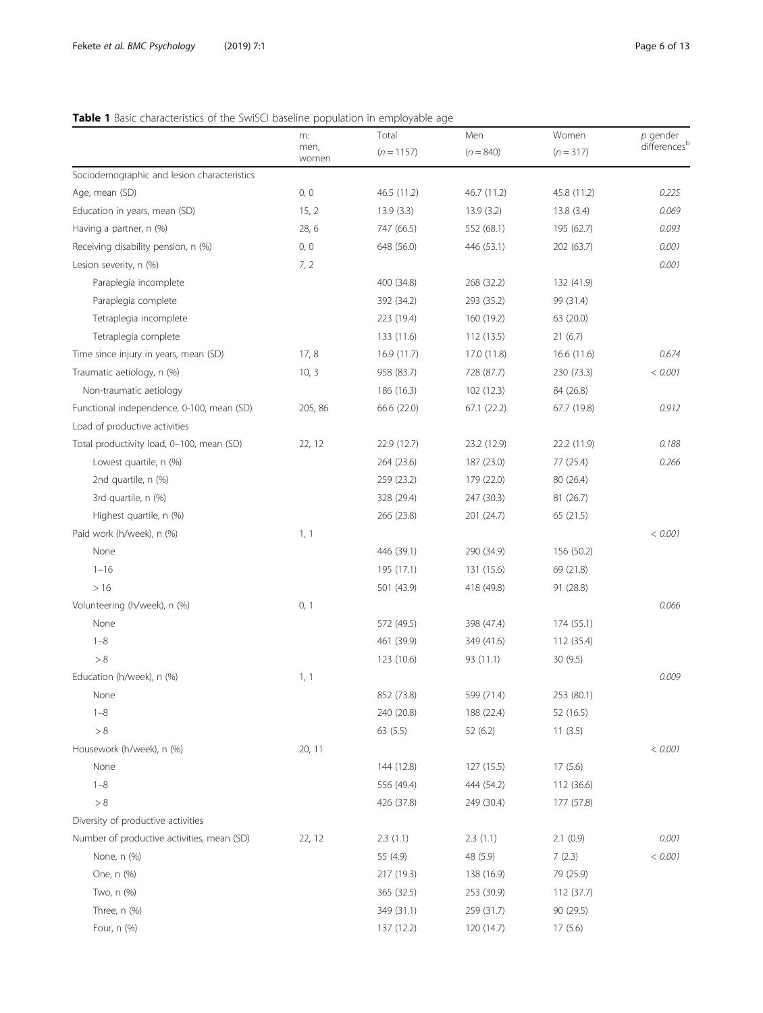# <span id="page-5-0"></span>Table 1 Basic characteristics of the SwiSCI baseline population in employable age

|                                             | m:            | Total        | Men         | Women       | $p$ gender   |
|---------------------------------------------|---------------|--------------|-------------|-------------|--------------|
|                                             | men,<br>women | $(n = 1157)$ | $(n = 840)$ | $(n = 317)$ | differencesb |
| Sociodemographic and lesion characteristics |               |              |             |             |              |
| Age, mean (SD)                              | 0, 0          | 46.5 (11.2)  | 46.7 (11.2) | 45.8 (11.2) | 0.225        |
| Education in years, mean (SD)               | 15, 2         | 13.9(3.3)    | 13.9(3.2)   | 13.8 (3.4)  | 0.069        |
| Having a partner, n (%)                     | 28, 6         | 747 (66.5)   | 552 (68.1)  | 195 (62.7)  | 0.093        |
| Receiving disability pension, n (%)         | 0, 0          | 648 (56.0)   | 446 (53.1)  | 202 (63.7)  | 0.001        |
| Lesion severity, n (%)                      | 7, 2          |              |             |             | 0.001        |
| Paraplegia incomplete                       |               | 400 (34.8)   | 268 (32.2)  | 132 (41.9)  |              |
| Paraplegia complete                         |               | 392 (34.2)   | 293 (35.2)  | 99 (31.4)   |              |
| Tetraplegia incomplete                      |               | 223 (19.4)   | 160 (19.2)  | 63 (20.0)   |              |
| Tetraplegia complete                        |               | 133 (11.6)   | 112 (13.5)  | 21(6.7)     |              |
| Time since injury in years, mean (SD)       | 17,8          | 16.9(11.7)   | 17.0 (11.8) | 16.6 (11.6) | 0.674        |
| Traumatic aetiology, n (%)                  | 10, 3         | 958 (83.7)   | 728 (87.7)  | 230 (73.3)  | < 0.001      |
| Non-traumatic aetiology                     |               | 186 (16.3)   | 102 (12.3)  | 84 (26.8)   |              |
| Functional independence, 0-100, mean (SD)   | 205, 86       | 66.6 (22.0)  | 67.1 (22.2) | 67.7 (19.8) | 0.912        |
| Load of productive activities               |               |              |             |             |              |
| Total productivity load, 0-100, mean (SD)   | 22, 12        | 22.9 (12.7)  | 23.2 (12.9) | 22.2 (11.9) | 0.188        |
| Lowest quartile, n (%)                      |               | 264 (23.6)   | 187 (23.0)  | 77 (25.4)   | 0.266        |
| 2nd quartile, n (%)                         |               | 259 (23.2)   | 179 (22.0)  | 80 (26.4)   |              |
| 3rd quartile, n (%)                         |               | 328 (29.4)   | 247 (30.3)  | 81 (26.7)   |              |
| Highest quartile, n (%)                     |               | 266 (23.8)   | 201 (24.7)  | 65 (21.5)   |              |
| Paid work (h/week), n (%)                   | 1, 1          |              |             |             | < 0.001      |
| None                                        |               | 446 (39.1)   | 290 (34.9)  | 156 (50.2)  |              |
| $1 - 16$                                    |               | 195 (17.1)   | 131 (15.6)  | 69 (21.8)   |              |
| >16                                         |               | 501 (43.9)   | 418 (49.8)  | 91 (28.8)   |              |
| Volunteering (h/week), n (%)                | 0, 1          |              |             |             | 0.066        |
| None                                        |               | 572 (49.5)   | 398 (47.4)  | 174 (55.1)  |              |
| $1 - 8$                                     |               | 461 (39.9)   | 349 (41.6)  | 112 (35.4)  |              |
| > 8                                         |               | 123 (10.6)   | 93 (11.1)   | 30 (9.5)    |              |
| Education (h/week), n (%)                   | 1, 1          |              |             |             | 0.009        |
| None                                        |               | 852 (73.8)   | 599 (71.4)  | 253 (80.1)  |              |
| $1 - 8$                                     |               | 240 (20.8)   | 188 (22.4)  | 52 (16.5)   |              |
| $> 8$                                       |               | 63(5.5)      | 52(6.2)     | 11(3.5)     |              |
| Housework (h/week), n (%)                   | 20, 11        |              |             |             | < 0.001      |
| None                                        |               | 144 (12.8)   | 127 (15.5)  | 17(5.6)     |              |
| $1 - 8$                                     |               | 556 (49.4)   | 444 (54.2)  | 112 (36.6)  |              |
| $> 8$                                       |               | 426 (37.8)   | 249 (30.4)  | 177 (57.8)  |              |
| Diversity of productive activities          |               |              |             |             |              |
| Number of productive activities, mean (SD)  | 22, 12        | 2.3(1.1)     | 2.3(1.1)    | 2.1(0.9)    | 0.001        |
| None, n (%)                                 |               | 55 (4.9)     | 48 (5.9)    | 7(2.3)      | < 0.001      |
| One, n (%)                                  |               | 217 (19.3)   | 138 (16.9)  | 79 (25.9)   |              |
| Two, n (%)                                  |               | 365 (32.5)   | 253 (30.9)  | 112 (37.7)  |              |
| Three, n (%)                                |               | 349 (31.1)   | 259 (31.7)  | 90 (29.5)   |              |
| Four, n (%)                                 |               | 137 (12.2)   | 120 (14.7)  | 17(5.6)     |              |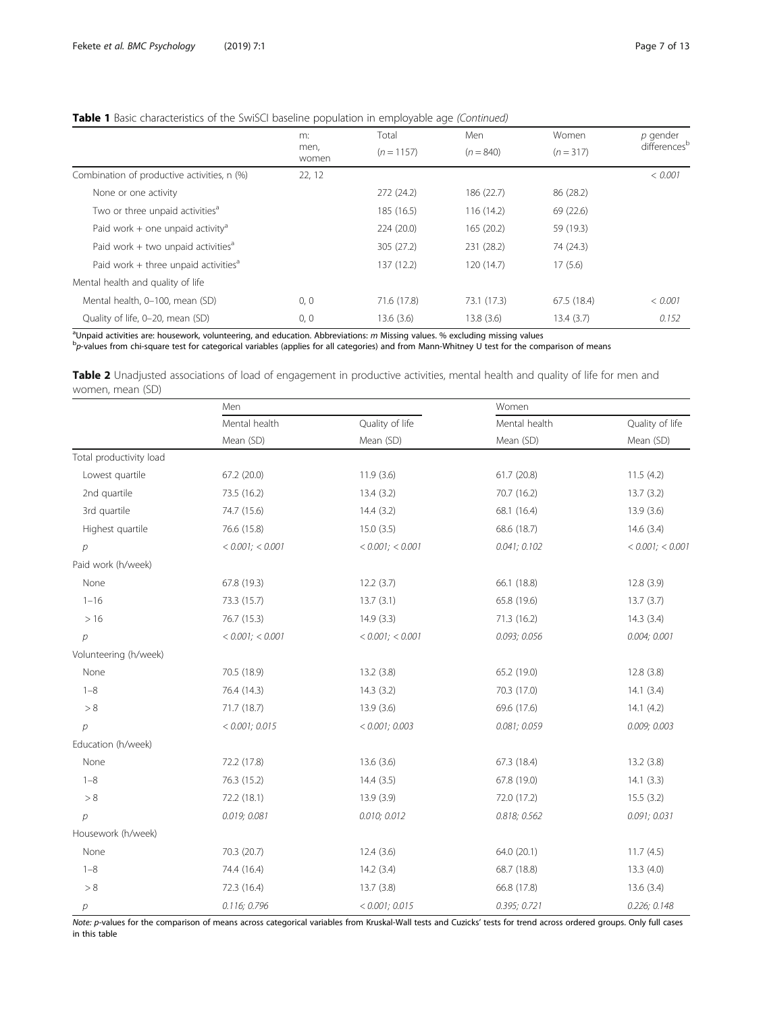# <span id="page-6-0"></span>Table 1 Basic characteristics of the SwiSCI baseline population in employable age (Continued)

|                                                    | m:            | Total        | Men         | Women       | $p$ gender   |
|----------------------------------------------------|---------------|--------------|-------------|-------------|--------------|
|                                                    | men,<br>women | $(n = 1157)$ | $(n = 840)$ | $(n = 317)$ | differencesb |
| Combination of productive activities, n (%)        | 22, 12        |              |             |             | < 0.001      |
| None or one activity                               |               | 272 (24.2)   | 186 (22.7)  | 86 (28.2)   |              |
| Two or three unpaid activities <sup>a</sup>        |               | 185 (16.5)   | 116(14.2)   | 69 (22.6)   |              |
| Paid work + one unpaid activity <sup>a</sup>       |               | 224(20.0)    | 165 (20.2)  | 59 (19.3)   |              |
| Paid work $+$ two unpaid activities <sup>a</sup>   |               | 305 (27.2)   | 231 (28.2)  | 74 (24.3)   |              |
| Paid work $+$ three unpaid activities <sup>a</sup> |               | 137 (12.2)   | 120 (14.7)  | 17(5.6)     |              |
| Mental health and quality of life                  |               |              |             |             |              |
| Mental health, 0-100, mean (SD)                    | 0, 0          | 71.6 (17.8)  | 73.1 (17.3) | 67.5 (18.4) | < 0.001      |
| Quality of life, 0-20, mean (SD)                   | 0, 0          | 13.6(3.6)    | 13.8(3.6)   | 13.4(3.7)   | 0.152        |
|                                                    |               |              |             |             |              |

aUpaid activities are: housework, volunteering, and education. Abbreviations: m Missing values. % excluding missing values<br>Provalues from chi-square test for categorical variables (applies for all categories) and from Mann p-values from chi-square test for categorical variables (applies for all categories) and from Mann-Whitney U test for the comparison of means

Table 2 Unadjusted associations of load of engagement in productive activities, mental health and quality of life for men and women, mean (SD)

|                         | Men                   |                       | Women         |                       |
|-------------------------|-----------------------|-----------------------|---------------|-----------------------|
|                         | Mental health         | Quality of life       | Mental health | Quality of life       |
|                         | Mean (SD)             | Mean (SD)             | Mean (SD)     | Mean (SD)             |
| Total productivity load |                       |                       |               |                       |
| Lowest quartile         | 67.2 (20.0)           | 11.9(3.6)             | 61.7(20.8)    | 11.5(4.2)             |
| 2nd quartile            | 73.5 (16.2)           | 13.4(3.2)             | 70.7 (16.2)   | 13.7(3.2)             |
| 3rd quartile            | 74.7 (15.6)           | 14.4(3.2)             | 68.1 (16.4)   | 13.9(3.6)             |
| Highest quartile        | 76.6 (15.8)           | 15.0(3.5)             | 68.6 (18.7)   | 14.6(3.4)             |
| р                       | $< 0.001$ ; $< 0.001$ | $< 0.001$ ; $< 0.001$ | 0.041; 0.102  | $< 0.001$ ; $< 0.001$ |
| Paid work (h/week)      |                       |                       |               |                       |
| None                    | 67.8(19.3)            | 12.2(3.7)             | 66.1 (18.8)   | 12.8(3.9)             |
| $1 - 16$                | 73.3 (15.7)           | 13.7(3.1)             | 65.8 (19.6)   | 13.7(3.7)             |
| >16                     | 76.7 (15.3)           | 14.9(3.3)             | 71.3 (16.2)   | 14.3(3.4)             |
| $\mathcal{P}$           | $< 0.001$ ; $< 0.001$ | $< 0.001$ ; $< 0.001$ | 0.093; 0.056  | 0.004; 0.001          |
| Volunteering (h/week)   |                       |                       |               |                       |
| None                    | 70.5 (18.9)           | 13.2(3.8)             | 65.2 (19.0)   | 12.8(3.8)             |
| $1 - 8$                 | 76.4 (14.3)           | 14.3(3.2)             | 70.3 (17.0)   | 14.1(3.4)             |
| > 8                     | 71.7 (18.7)           | 13.9(3.6)             | 69.6 (17.6)   | 14.1(4.2)             |
| р                       | < 0.001; 0.015        | < 0.001; 0.003        | 0.081; 0.059  | 0.009; 0.003          |
| Education (h/week)      |                       |                       |               |                       |
| None                    | 72.2 (17.8)           | 13.6(3.6)             | 67.3 (18.4)   | 13.2(3.8)             |
| $1 - 8$                 | 76.3 (15.2)           | 14.4(3.5)             | 67.8 (19.0)   | 14.1(3.3)             |
| > 8                     | 72.2 (18.1)           | 13.9(3.9)             | 72.0 (17.2)   | 15.5(3.2)             |
| $\mathcal{P}$           | 0.019; 0.081          | 0.010; 0.012          | 0.818; 0.562  | 0.091; 0.031          |
| Housework (h/week)      |                       |                       |               |                       |
| None                    | 70.3 (20.7)           | 12.4(3.6)             | 64.0 (20.1)   | 11.7(4.5)             |
| $1 - 8$                 | 74.4 (16.4)           | 14.2(3.4)             | 68.7 (18.8)   | 13.3(4.0)             |
| > 8                     | 72.3 (16.4)           | 13.7(3.8)             | 66.8 (17.8)   | 13.6(3.4)             |
| р                       | 0.116; 0.796          | < 0.001; 0.015        | 0.395; 0.721  | 0.226; 0.148          |

Note: p-values for the comparison of means across categorical variables from Kruskal-Wall tests and Cuzicks' tests for trend across ordered groups. Only full cases in this table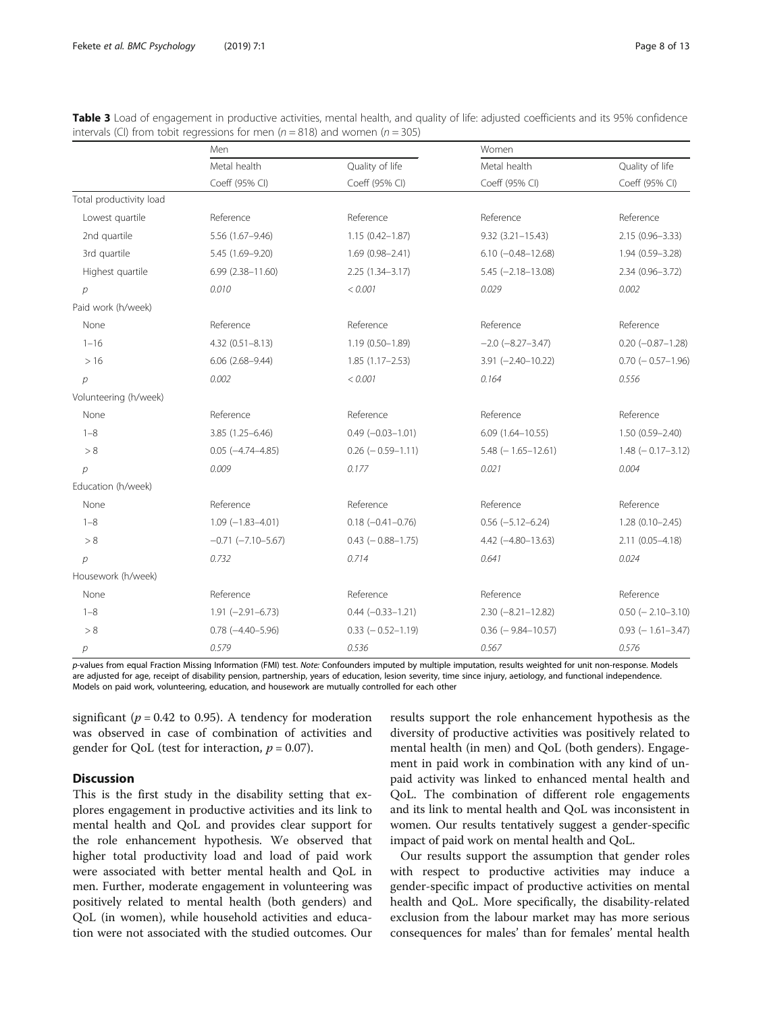|                         | Men                      |                           | Women                      |                           |  |  |
|-------------------------|--------------------------|---------------------------|----------------------------|---------------------------|--|--|
|                         | Metal health             | Quality of life           | Metal health               | Quality of life           |  |  |
|                         | Coeff (95% CI)           | Coeff (95% CI)            | Coeff (95% CI)             | Coeff (95% CI)            |  |  |
| Total productivity load |                          |                           |                            |                           |  |  |
| Lowest quartile         | Reference                | Reference                 | Reference                  | Reference                 |  |  |
| 2nd quartile            | 5.56 (1.67-9.46)         | $1.15(0.42 - 1.87)$       | $9.32(3.21 - 15.43)$       | 2.15 (0.96-3.33)          |  |  |
| 3rd quartile            | 5.45 (1.69-9.20)         | $1.69(0.98 - 2.41)$       | $6.10 (-0.48 - 12.68)$     | 1.94 (0.59-3.28)          |  |  |
| Highest quartile        | $6.99(2.38 - 11.60)$     | $2.25(1.34 - 3.17)$       | $5.45 (-2.18 - 13.08)$     | 2.34 (0.96-3.72)          |  |  |
| р                       | 0.010                    | < 0.001                   | 0.029                      | 0.002                     |  |  |
| Paid work (h/week)      |                          |                           |                            |                           |  |  |
| None                    | Reference                | Reference                 | Reference                  | Reference                 |  |  |
| $1 - 16$                | $4.32(0.51 - 8.13)$      | $1.19(0.50 - 1.89)$       | $-2.0$ $(-8.27-3.47)$      | $0.20 (-0.87 - 1.28)$     |  |  |
| >16                     | $6.06$ $(2.68 - 9.44)$   | $1.85(1.17 - 2.53)$       | $3.91 (-2.40 - 10.22)$     | $0.70$ ( $-0.57-1.96$ )   |  |  |
| $\overline{p}$          | 0.002                    | < 0.001                   | 0.164                      | 0.556                     |  |  |
| Volunteering (h/week)   |                          |                           |                            |                           |  |  |
| None                    | Reference                | Reference                 | Reference                  | Reference                 |  |  |
| $1 - 8$                 | 3.85 (1.25-6.46)         | $0.49$ $(-0.03 - 1.01)$   | $6.09(1.64 - 10.55)$       | $1.50(0.59 - 2.40)$       |  |  |
| > 8                     | $0.05 (-4.74 - 4.85)$    | $0.26$ ( $-0.59 - 1.11$ ) | $5.48$ (-1.65-12.61)       | $1.48 (-0.17 - 3.12)$     |  |  |
| $\overline{p}$          | 0.009                    | 0.177                     | 0.021                      | 0.004                     |  |  |
| Education (h/week)      |                          |                           |                            |                           |  |  |
| None                    | Reference                | Reference                 | Reference                  | Reference                 |  |  |
| $1 - 8$                 | $1.09$ (-1.83-4.01)      | $0.18 (-0.41 - 0.76)$     | $0.56$ $(-5.12 - 6.24)$    | $1.28(0.10 - 2.45)$       |  |  |
| > 8                     | $-0.71$ $(-7.10 - 5.67)$ | $0.43$ ( $-0.88 - 1.75$ ) | $4.42 (-4.80 - 13.63)$     | $2.11(0.05 - 4.18)$       |  |  |
| $\mathcal{D}$           | 0.732                    | 0.714                     | 0.641                      | 0.024                     |  |  |
| Housework (h/week)      |                          |                           |                            |                           |  |  |
| None                    | Reference                | Reference                 | Reference                  | Reference                 |  |  |
| $1 - 8$                 | $1.91 (-2.91 - 6.73)$    | $0.44 (-0.33 - 1.21)$     | $2.30 (-8.21 - 12.82)$     | $0.50$ ( $-2.10 - 3.10$ ) |  |  |
| > 8                     | $0.78$ $(-4.40 - 5.96)$  | $0.33 (-0.52 - 1.19)$     | $0.36$ ( $-9.84 - 10.57$ ) | $0.93$ (-1.61-3.47)       |  |  |
| р                       | 0.579                    | 0.536                     | 0.567                      | 0.576                     |  |  |

<span id="page-7-0"></span>

| Table 3 Load of engagement in productive activities, mental health, and quality of life: adjusted coefficients and its 95% confidence |  |  |  |  |
|---------------------------------------------------------------------------------------------------------------------------------------|--|--|--|--|
| intervals (CI) from tobit regressions for men ( $n = 818$ ) and women ( $n = 305$ )                                                   |  |  |  |  |

p-values from equal Fraction Missing Information (FMI) test. Note: Confounders imputed by multiple imputation, results weighted for unit non-response. Models are adjusted for age, receipt of disability pension, partnership, years of education, lesion severity, time since injury, aetiology, and functional independence. Models on paid work, volunteering, education, and housework are mutually controlled for each other

significant ( $p = 0.42$  to 0.95). A tendency for moderation was observed in case of combination of activities and gender for QoL (test for interaction,  $p = 0.07$ ).

# **Discussion**

This is the first study in the disability setting that explores engagement in productive activities and its link to mental health and QoL and provides clear support for the role enhancement hypothesis. We observed that higher total productivity load and load of paid work were associated with better mental health and QoL in men. Further, moderate engagement in volunteering was positively related to mental health (both genders) and QoL (in women), while household activities and education were not associated with the studied outcomes. Our

results support the role enhancement hypothesis as the diversity of productive activities was positively related to mental health (in men) and QoL (both genders). Engagement in paid work in combination with any kind of unpaid activity was linked to enhanced mental health and QoL. The combination of different role engagements and its link to mental health and QoL was inconsistent in women. Our results tentatively suggest a gender-specific impact of paid work on mental health and QoL.

Our results support the assumption that gender roles with respect to productive activities may induce a gender-specific impact of productive activities on mental health and QoL. More specifically, the disability-related exclusion from the labour market may has more serious consequences for males' than for females' mental health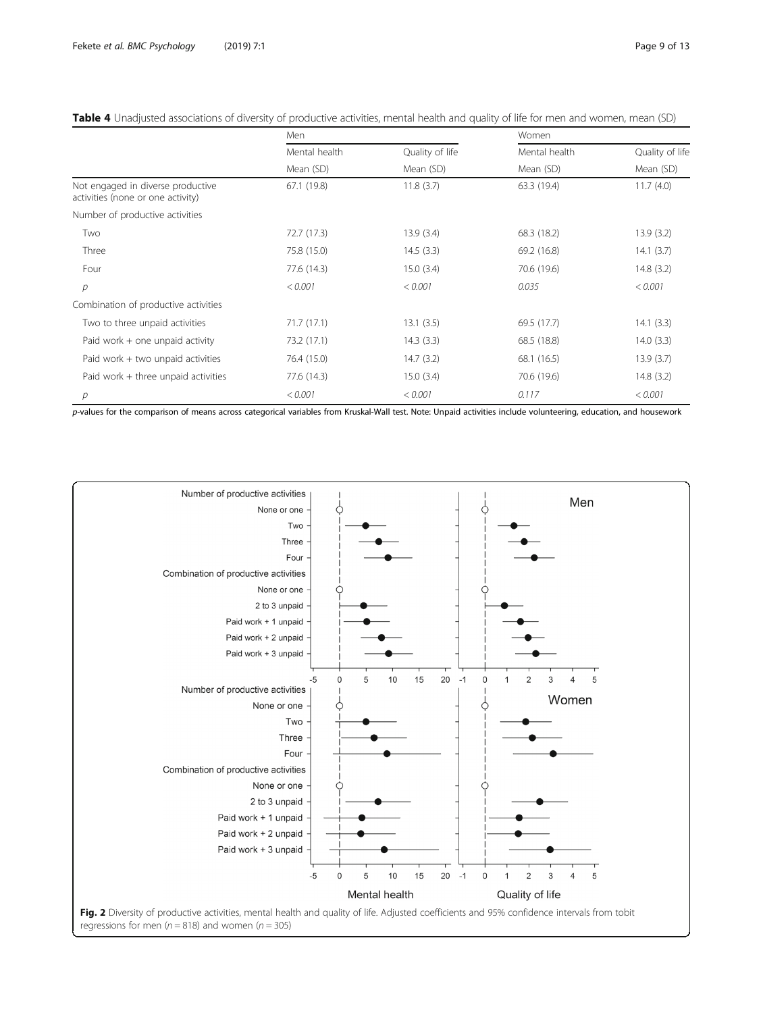<span id="page-8-0"></span>

|  |  |  |  | Table 4 Unadjusted associations of diversity of productive activities, mental health and quality of life for men and women, mean (SD) |  |  |
|--|--|--|--|---------------------------------------------------------------------------------------------------------------------------------------|--|--|
|--|--|--|--|---------------------------------------------------------------------------------------------------------------------------------------|--|--|

|                                                                        | Men           |                 | Women         |                 |  |
|------------------------------------------------------------------------|---------------|-----------------|---------------|-----------------|--|
|                                                                        | Mental health | Quality of life | Mental health | Quality of life |  |
|                                                                        | Mean (SD)     | Mean (SD)       | Mean (SD)     | Mean (SD)       |  |
| Not engaged in diverse productive<br>activities (none or one activity) | 67.1 (19.8)   | 11.8(3.7)       | 63.3 (19.4)   | 11.7(4.0)       |  |
| Number of productive activities                                        |               |                 |               |                 |  |
| Two                                                                    | 72.7 (17.3)   | 13.9(3.4)       | 68.3 (18.2)   | 13.9(3.2)       |  |
| Three                                                                  | 75.8 (15.0)   | 14.5(3.3)       | 69.2 (16.8)   | 14.1(3.7)       |  |
| Four                                                                   | 77.6 (14.3)   | 15.0(3.4)       | 70.6 (19.6)   | 14.8(3.2)       |  |
| $\mathcal{P}$                                                          | < 0.001       | < 0.001         | 0.035         | < 0.001         |  |
| Combination of productive activities                                   |               |                 |               |                 |  |
| Two to three unpaid activities                                         | 71.7(17.1)    | 13.1(3.5)       | 69.5 (17.7)   | 14.1(3.3)       |  |
| Paid work $+$ one unpaid activity                                      | 73.2 (17.1)   | 14.3(3.3)       | 68.5 (18.8)   | 14.0(3.3)       |  |
| Paid work + two unpaid activities                                      | 76.4 (15.0)   | 14.7(3.2)       | 68.1 (16.5)   | 13.9(3.7)       |  |
| Paid work $+$ three unpaid activities                                  | 77.6 (14.3)   | 15.0(3.4)       | 70.6 (19.6)   | 14.8(3.2)       |  |
| р                                                                      | < 0.001       | < 0.001         | 0.117         | < 0.001         |  |

p-values for the comparison of means across categorical variables from Kruskal-Wall test. Note: Unpaid activities include volunteering, education, and housework

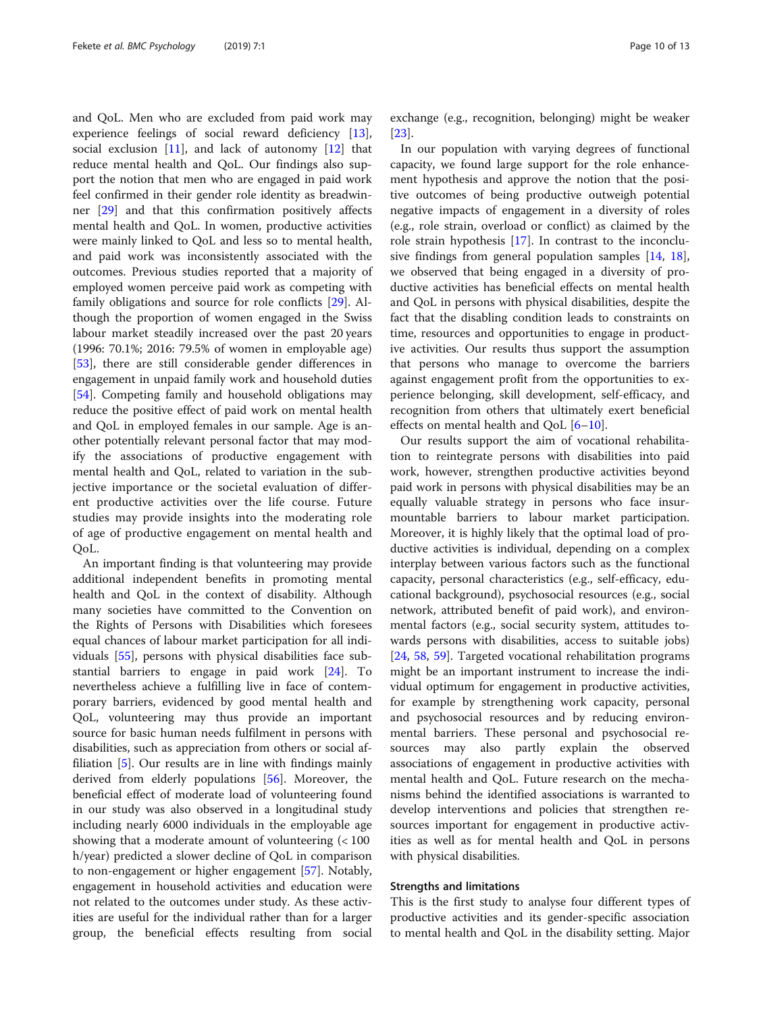and QoL. Men who are excluded from paid work may experience feelings of social reward deficiency [\[13](#page-11-0)], social exclusion  $[11]$  $[11]$ , and lack of autonomy  $[12]$  $[12]$  that reduce mental health and QoL. Our findings also support the notion that men who are engaged in paid work feel confirmed in their gender role identity as breadwinner [\[29](#page-11-0)] and that this confirmation positively affects mental health and QoL. In women, productive activities were mainly linked to QoL and less so to mental health, and paid work was inconsistently associated with the outcomes. Previous studies reported that a majority of employed women perceive paid work as competing with family obligations and source for role conflicts [[29](#page-11-0)]. Although the proportion of women engaged in the Swiss labour market steadily increased over the past 20 years (1996: 70.1%; 2016: 79.5% of women in employable age) [[53\]](#page-11-0), there are still considerable gender differences in engagement in unpaid family work and household duties [[54\]](#page-11-0). Competing family and household obligations may reduce the positive effect of paid work on mental health and QoL in employed females in our sample. Age is another potentially relevant personal factor that may modify the associations of productive engagement with mental health and QoL, related to variation in the subjective importance or the societal evaluation of different productive activities over the life course. Future studies may provide insights into the moderating role of age of productive engagement on mental health and QoL.

An important finding is that volunteering may provide additional independent benefits in promoting mental health and QoL in the context of disability. Although many societies have committed to the Convention on the Rights of Persons with Disabilities which foresees equal chances of labour market participation for all individuals [\[55](#page-11-0)], persons with physical disabilities face substantial barriers to engage in paid work [\[24\]](#page-11-0). To nevertheless achieve a fulfilling live in face of contemporary barriers, evidenced by good mental health and QoL, volunteering may thus provide an important source for basic human needs fulfilment in persons with disabilities, such as appreciation from others or social affiliation [[5\]](#page-11-0). Our results are in line with findings mainly derived from elderly populations [[56](#page-11-0)]. Moreover, the beneficial effect of moderate load of volunteering found in our study was also observed in a longitudinal study including nearly 6000 individuals in the employable age showing that a moderate amount of volunteering  $\left( < 100 \right)$ h/year) predicted a slower decline of QoL in comparison to non-engagement or higher engagement [[57\]](#page-11-0). Notably, engagement in household activities and education were not related to the outcomes under study. As these activities are useful for the individual rather than for a larger group, the beneficial effects resulting from social

exchange (e.g., recognition, belonging) might be weaker [[23\]](#page-11-0).

In our population with varying degrees of functional capacity, we found large support for the role enhancement hypothesis and approve the notion that the positive outcomes of being productive outweigh potential negative impacts of engagement in a diversity of roles (e.g., role strain, overload or conflict) as claimed by the role strain hypothesis [[17\]](#page-11-0). In contrast to the inconclusive findings from general population samples [\[14,](#page-11-0) [18](#page-11-0)], we observed that being engaged in a diversity of productive activities has beneficial effects on mental health and QoL in persons with physical disabilities, despite the fact that the disabling condition leads to constraints on time, resources and opportunities to engage in productive activities. Our results thus support the assumption that persons who manage to overcome the barriers against engagement profit from the opportunities to experience belonging, skill development, self-efficacy, and recognition from others that ultimately exert beneficial effects on mental health and QoL  $[6-10]$  $[6-10]$  $[6-10]$  $[6-10]$  $[6-10]$ .

Our results support the aim of vocational rehabilitation to reintegrate persons with disabilities into paid work, however, strengthen productive activities beyond paid work in persons with physical disabilities may be an equally valuable strategy in persons who face insurmountable barriers to labour market participation. Moreover, it is highly likely that the optimal load of productive activities is individual, depending on a complex interplay between various factors such as the functional capacity, personal characteristics (e.g., self-efficacy, educational background), psychosocial resources (e.g., social network, attributed benefit of paid work), and environmental factors (e.g., social security system, attitudes towards persons with disabilities, access to suitable jobs) [[24,](#page-11-0) [58](#page-11-0), [59](#page-12-0)]. Targeted vocational rehabilitation programs might be an important instrument to increase the individual optimum for engagement in productive activities, for example by strengthening work capacity, personal and psychosocial resources and by reducing environmental barriers. These personal and psychosocial resources may also partly explain the observed associations of engagement in productive activities with mental health and QoL. Future research on the mechanisms behind the identified associations is warranted to develop interventions and policies that strengthen resources important for engagement in productive activities as well as for mental health and QoL in persons with physical disabilities.

#### Strengths and limitations

This is the first study to analyse four different types of productive activities and its gender-specific association to mental health and QoL in the disability setting. Major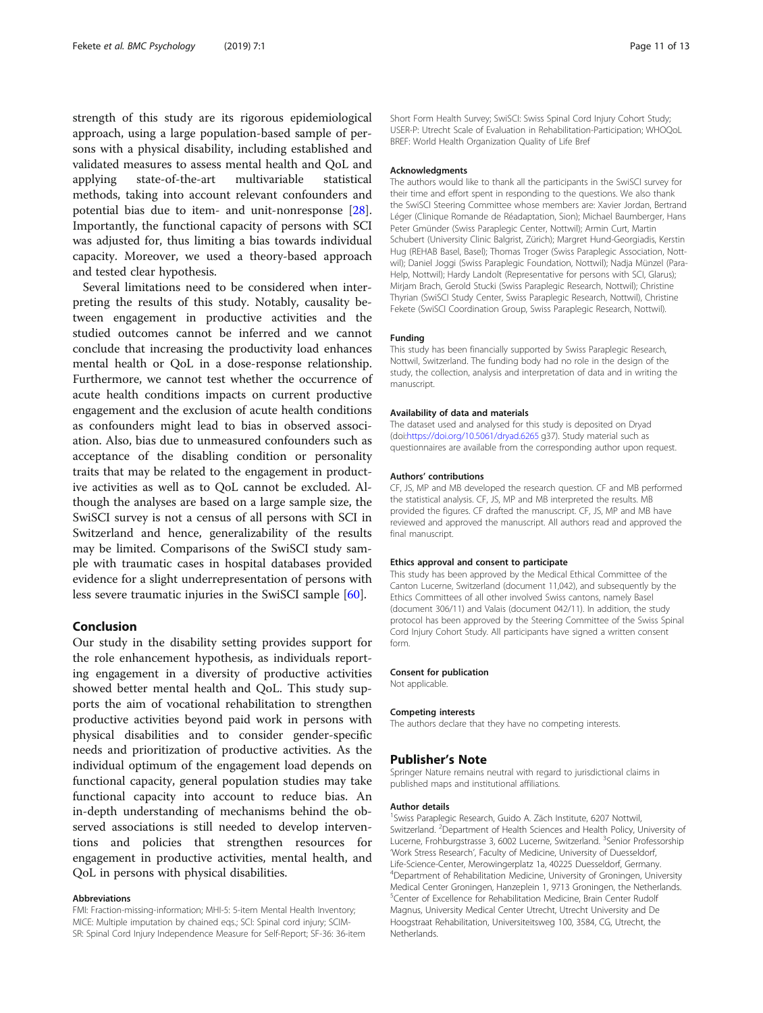strength of this study are its rigorous epidemiological approach, using a large population-based sample of persons with a physical disability, including established and validated measures to assess mental health and QoL and applying state-of-the-art multivariable statistical methods, taking into account relevant confounders and potential bias due to item- and unit-nonresponse [\[28](#page-11-0)]. Importantly, the functional capacity of persons with SCI was adjusted for, thus limiting a bias towards individual capacity. Moreover, we used a theory-based approach and tested clear hypothesis.

Several limitations need to be considered when interpreting the results of this study. Notably, causality between engagement in productive activities and the studied outcomes cannot be inferred and we cannot conclude that increasing the productivity load enhances mental health or QoL in a dose-response relationship. Furthermore, we cannot test whether the occurrence of acute health conditions impacts on current productive engagement and the exclusion of acute health conditions as confounders might lead to bias in observed association. Also, bias due to unmeasured confounders such as acceptance of the disabling condition or personality traits that may be related to the engagement in productive activities as well as to QoL cannot be excluded. Although the analyses are based on a large sample size, the SwiSCI survey is not a census of all persons with SCI in Switzerland and hence, generalizability of the results may be limited. Comparisons of the SwiSCI study sample with traumatic cases in hospital databases provided evidence for a slight underrepresentation of persons with less severe traumatic injuries in the SwiSCI sample [\[60](#page-12-0)].

# Conclusion

Our study in the disability setting provides support for the role enhancement hypothesis, as individuals reporting engagement in a diversity of productive activities showed better mental health and QoL. This study supports the aim of vocational rehabilitation to strengthen productive activities beyond paid work in persons with physical disabilities and to consider gender-specific needs and prioritization of productive activities. As the individual optimum of the engagement load depends on functional capacity, general population studies may take functional capacity into account to reduce bias. An in-depth understanding of mechanisms behind the observed associations is still needed to develop interventions and policies that strengthen resources for engagement in productive activities, mental health, and QoL in persons with physical disabilities.

#### Abbreviations

FMI: Fraction-missing-information; MHI-5: 5-item Mental Health Inventory; MICE: Multiple imputation by chained eqs.; SCI: Spinal cord injury; SCIM-SR: Spinal Cord Injury Independence Measure for Self-Report; SF-36: 36-item

Short Form Health Survey; SwiSCI: Swiss Spinal Cord Injury Cohort Study; USER-P: Utrecht Scale of Evaluation in Rehabilitation-Participation; WHOQoL BREF: World Health Organization Quality of Life Bref

#### Acknowledgments

The authors would like to thank all the participants in the SwiSCI survey for their time and effort spent in responding to the questions. We also thank the SwiSCI Steering Committee whose members are: Xavier Jordan, Bertrand Léger (Clinique Romande de Réadaptation, Sion); Michael Baumberger, Hans Peter Gmünder (Swiss Paraplegic Center, Nottwil); Armin Curt, Martin Schubert (University Clinic Balgrist, Zürich); Margret Hund-Georgiadis, Kerstin Hug (REHAB Basel, Basel); Thomas Troger (Swiss Paraplegic Association, Nottwil); Daniel Joggi (Swiss Paraplegic Foundation, Nottwil); Nadja Münzel (Para-Help, Nottwil); Hardy Landolt (Representative for persons with SCI, Glarus); Mirjam Brach, Gerold Stucki (Swiss Paraplegic Research, Nottwil); Christine Thyrian (SwiSCI Study Center, Swiss Paraplegic Research, Nottwil), Christine Fekete (SwiSCI Coordination Group, Swiss Paraplegic Research, Nottwil).

#### Funding

This study has been financially supported by Swiss Paraplegic Research, Nottwil, Switzerland. The funding body had no role in the design of the study, the collection, analysis and interpretation of data and in writing the manuscript.

#### Availability of data and materials

The dataset used and analysed for this study is deposited on Dryad (doi:<https://doi.org/10.5061/dryad.6265> g37). Study material such as questionnaires are available from the corresponding author upon request.

#### Authors' contributions

CF, JS, MP and MB developed the research question. CF and MB performed the statistical analysis. CF, JS, MP and MB interpreted the results. MB provided the figures. CF drafted the manuscript. CF, JS, MP and MB have reviewed and approved the manuscript. All authors read and approved the final manuscript.

#### Ethics approval and consent to participate

This study has been approved by the Medical Ethical Committee of the Canton Lucerne, Switzerland (document 11,042), and subsequently by the Ethics Committees of all other involved Swiss cantons, namely Basel (document 306/11) and Valais (document 042/11). In addition, the study protocol has been approved by the Steering Committee of the Swiss Spinal Cord Injury Cohort Study. All participants have signed a written consent form.

#### Consent for publication

Not applicable.

#### Competing interests

The authors declare that they have no competing interests.

### Publisher's Note

Springer Nature remains neutral with regard to jurisdictional claims in published maps and institutional affiliations.

### Author details

<sup>1</sup> Swiss Paraplegic Research, Guido A. Zäch Institute, 6207 Nottwil, Switzerland. <sup>2</sup>Department of Health Sciences and Health Policy, University of Lucerne, Frohburgstrasse 3, 6002 Lucerne, Switzerland. <sup>3</sup>Senior Professorship 'Work Stress Research', Faculty of Medicine, University of Duesseldorf, Life-Science-Center, Merowingerplatz 1a, 40225 Duesseldorf, Germany. 4 Department of Rehabilitation Medicine, University of Groningen, University Medical Center Groningen, Hanzeplein 1, 9713 Groningen, the Netherlands. 5 Center of Excellence for Rehabilitation Medicine, Brain Center Rudolf Magnus, University Medical Center Utrecht, Utrecht University and De Hoogstraat Rehabilitation, Universiteitsweg 100, 3584, CG, Utrecht, the Netherlands.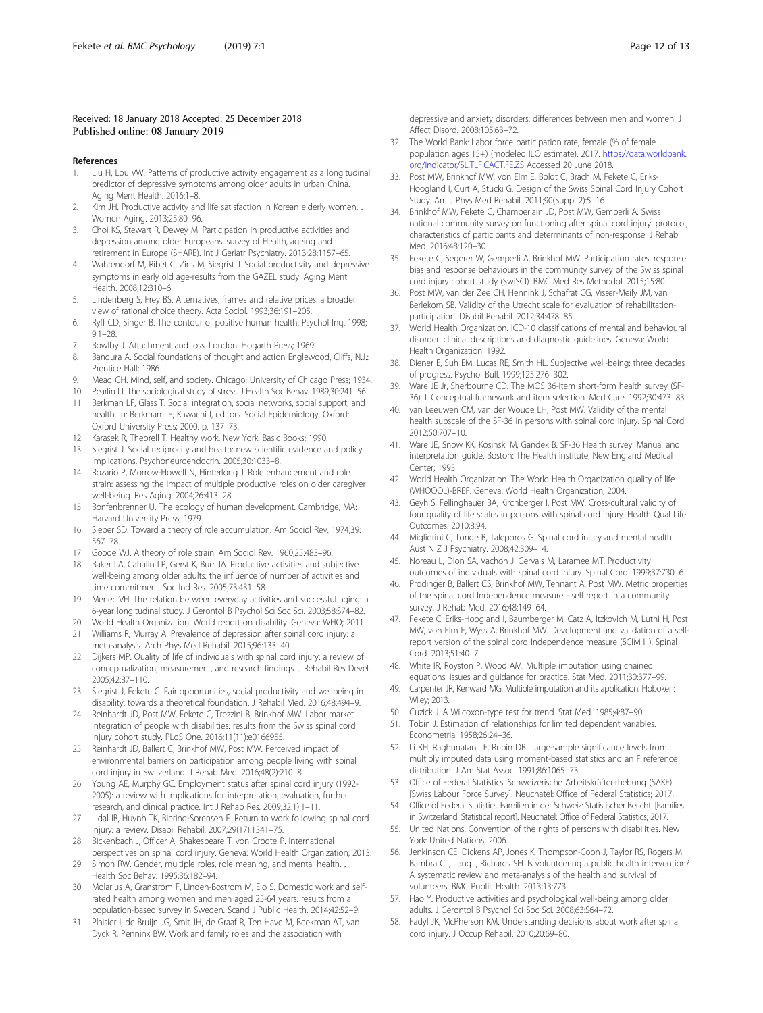#### <span id="page-11-0"></span>Received: 18 January 2018 Accepted: 25 December 2018 Published online: 08 January 2019

#### References

- 1. Liu H, Lou VW. Patterns of productive activity engagement as a longitudinal predictor of depressive symptoms among older adults in urban China. Aging Ment Health. 2016:1–8.
- 2. Kim JH. Productive activity and life satisfaction in Korean elderly women. J Women Aging. 2013;25:80–96.
- 3. Choi KS, Stewart R, Dewey M. Participation in productive activities and depression among older Europeans: survey of Health, ageing and retirement in Europe (SHARE). Int J Geriatr Psychiatry. 2013;28:1157–65.
- 4. Wahrendorf M, Ribet C, Zins M, Siegrist J. Social productivity and depressive symptoms in early old age-results from the GAZEL study. Aging Ment Health. 2008;12:310–6.
- 5. Lindenberg S, Frey BS. Alternatives, frames and relative prices: a broader view of rational choice theory. Acta Sociol. 1993;36:191–205.
- 6. Ryff CD, Singer B. The contour of positive human health. Psychol Inq. 1998; 9:1–28.
- 7. Bowlby J. Attachment and loss. London: Hogarth Press; 1969.
- 8. Bandura A. Social foundations of thought and action Englewood, Cliffs, N.J.: Prentice Hall; 1986.
- 9. Mead GH. Mind, self, and society. Chicago: University of Chicago Press; 1934.
- 10. Pearlin LI. The sociological study of stress. J Health Soc Behav. 1989;30:241–56.
- 11. Berkman LF, Glass T. Social integration, social networks, social support, and health. In: Berkman LF, Kawachi I, editors. Social Epidemiology. Oxford: Oxford University Press; 2000. p. 137–73.
- 12. Karasek R, Theorell T. Healthy work. New York: Basic Books; 1990.
- 13. Siegrist J. Social reciprocity and health: new scientific evidence and policy implications. Psychoneuroendocrin. 2005;30:1033–8.
- 14. Rozario P, Morrow-Howell N, Hinterlong J. Role enhancement and role strain: assessing the impact of multiple productive roles on older caregiver well-being. Res Aging. 2004;26:413–28.
- 15. Bonfenbrenner U. The ecology of human development. Cambridge, MA: Harvard University Press; 1979.
- 16. Sieber SD. Toward a theory of role accumulation. Am Sociol Rev. 1974;39: 567–78.
- 17. Goode WJ. A theory of role strain. Am Sociol Rev. 1960;25:483–96.
- 18. Baker LA, Cahalin LP, Gerst K, Burr JA. Productive activities and subjective well-being among older adults: the influence of number of activities and time commitment. Soc Ind Res. 2005;73:431–58.
- 19. Menec VH. The relation between everyday activities and successful aging: a 6-year longitudinal study. J Gerontol B Psychol Sci Soc Sci. 2003;58:S74–82.
- 20. World Health Organization. World report on disability. Geneva: WHO; 2011.
- 21. Williams R, Murray A. Prevalence of depression after spinal cord injury: a meta-analysis. Arch Phys Med Rehabil. 2015;96:133–40.
- 22. Dijkers MP. Quality of life of individuals with spinal cord injury: a review of conceptualization, measurement, and research findings. J Rehabil Res Devel. 2005;42:87–110.
- 23. Siegrist J, Fekete C. Fair opportunities, social productivity and wellbeing in disability: towards a theoretical foundation. J Rehabil Med. 2016;48:494–9.
- 24. Reinhardt JD, Post MW, Fekete C, Trezzini B, Brinkhof MW. Labor market integration of people with disabilities: results from the Swiss spinal cord injury cohort study. PLoS One. 2016;11(11):e0166955.
- 25. Reinhardt JD, Ballert C, Brinkhof MW, Post MW. Perceived impact of environmental barriers on participation among people living with spinal cord injury in Switzerland. J Rehab Med. 2016;48(2):210–8.
- 26. Young AE, Murphy GC. Employment status after spinal cord injury (1992- 2005): a review with implications for interpretation, evaluation, further research, and clinical practice. Int J Rehab Res. 2009;32:1):1–11.
- 27. Lidal IB, Huynh TK, Biering-Sorensen F. Return to work following spinal cord injury: a review. Disabil Rehabil. 2007;29(17):1341–75.
- 28. Bickenbach J, Officer A, Shakespeare T, von Groote P. International perspectives on spinal cord injury. Geneva: World Health Organization; 2013.
- 29. Simon RW. Gender, multiple roles, role meaning, and mental health. J Health Soc Behav. 1995;36:182–94.
- 30. Molarius A, Granstrom F, Linden-Bostrom M, Elo S. Domestic work and selfrated health among women and men aged 25-64 years: results from a population-based survey in Sweden. Scand J Public Health. 2014;42:52–9.
- 31. Plaisier I, de Bruijn JG, Smit JH, de Graaf R, Ten Have M, Beekman AT, van Dyck R, Penninx BW. Work and family roles and the association with

depressive and anxiety disorders: differences between men and women. J Affect Disord. 2008;105:63–72.

- 32. The World Bank: Labor force participation rate, female (% of female population ages 15+) (modeled ILO estimate). 2017. [https://data.worldbank.](https://data.worldbank.org/indicator/SL.TLF.CACT.FE.ZS) [org/indicator/SL.TLF.CACT.FE.ZS](https://data.worldbank.org/indicator/SL.TLF.CACT.FE.ZS) Accessed 20 June 2018.
- 33. Post MW, Brinkhof MW, von Elm E, Boldt C, Brach M, Fekete C, Eriks-Hoogland I, Curt A, Stucki G. Design of the Swiss Spinal Cord Injury Cohort Study. Am J Phys Med Rehabil. 2011;90(Suppl 2):5–16.
- 34. Brinkhof MW, Fekete C, Chamberlain JD, Post MW, Gemperli A. Swiss national community survey on functioning after spinal cord injury: protocol, characteristics of participants and determinants of non-response. J Rehabil Med. 2016;48:120–30.
- 35. Fekete C, Segerer W, Gemperli A, Brinkhof MW. Participation rates, response bias and response behaviours in the community survey of the Swiss spinal cord injury cohort study (SwiSCI). BMC Med Res Methodol. 2015;15:80.
- 36. Post MW, van der Zee CH, Hennink J, Schafrat CG, Visser-Meily JM, van Berlekom SB. Validity of the Utrecht scale for evaluation of rehabilitationparticipation. Disabil Rehabil. 2012;34:478–85.
- 37. World Health Organization. ICD-10 classifications of mental and behavioural disorder: clinical descriptions and diagnostic guidelines. Geneva: World Health Organization; 1992.
- 38. Diener E, Suh EM, Lucas RE, Smith HL. Subjective well-being: three decades of progress. Psychol Bull. 1999;125:276–302.
- 39. Ware JE Jr, Sherbourne CD. The MOS 36-item short-form health survey (SF-36). I. Conceptual framework and item selection. Med Care. 1992;30:473–83.
- 40. van Leeuwen CM, van der Woude LH, Post MW. Validity of the mental health subscale of the SF-36 in persons with spinal cord injury. Spinal Cord. 2012;50:707–10.
- 41. Ware JE, Snow KK, Kosinski M, Gandek B. SF-36 Health survey. Manual and interpretation guide. Boston: The Health institute, New England Medical Center; 1993.
- 42. World Health Organization. The World Health Organization quality of life (WHOQOL)-BREF. Geneva: World Health Organization; 2004.
- 43. Geyh S, Fellinghauer BA, Kirchberger I, Post MW. Cross-cultural validity of four quality of life scales in persons with spinal cord injury. Health Qual Life Outcomes. 2010;8:94.
- 44. Migliorini C, Tonge B, Taleporos G. Spinal cord injury and mental health. Aust N Z J Psychiatry. 2008;42:309–14.
- 45. Noreau L, Dion SA, Vachon J, Gervais M, Laramee MT. Productivity outcomes of individuals with spinal cord injury. Spinal Cord. 1999;37:730–6.
- 46. Prodinger B, Ballert CS, Brinkhof MW, Tennant A, Post MW. Metric properties of the spinal cord Independence measure - self report in a community survey. J Rehab Med. 2016;48:149–64.
- 47. Fekete C, Eriks-Hoogland I, Baumberger M, Catz A, Itzkovich M, Luthi H, Post MW, von Elm E, Wyss A, Brinkhof MW. Development and validation of a selfreport version of the spinal cord Independence measure (SCIM III). Spinal Cord. 2013;51:40–7.
- 48. White IR, Royston P, Wood AM. Multiple imputation using chained equations: issues and guidance for practice. Stat Med. 2011;30:377–99.
- 49. Carpenter JR, Kenward MG. Multiple imputation and its application. Hoboken: Wiley; 2013.
- 50. Cuzick J. A Wilcoxon-type test for trend. Stat Med. 1985;4:87–90.
- 51. Tobin J. Estimation of relationships for limited dependent variables. Econometria. 1958;26:24–36.
- 52. Li KH, Raghunatan TE, Rubin DB. Large-sample significance levels from multiply imputed data using moment-based statistics and an F reference distribution. J Am Stat Assoc. 1991;86:1065–73.
- 53. Office of Federal Statistics. Schweizerische Arbeitskräfteerhebung (SAKE). [Swiss Labour Force Survey]. Neuchatel: Office of Federal Statistics; 2017.
- 54. Office of Federal Statistics. Familien in der Schweiz: Statistischer Bericht. [Families in Switzerland: Statistical report]. Neuchatel: Office of Federal Statistics; 2017.
- 55. United Nations. Convention of the rights of persons with disabilities. New York: United Nations; 2006.
- 56. Jenkinson CE, Dickens AP, Jones K, Thompson-Coon J, Taylor RS, Rogers M, Bambra CL, Lang I, Richards SH. Is volunteering a public health intervention? A systematic review and meta-analysis of the health and survival of volunteers. BMC Public Health. 2013;13:773.
- 57. Hao Y. Productive activities and psychological well-being among older adults. J Gerontol B Psychol Sci Soc Sci. 2008;63:S64–72.
- 58. Fadyl JK, McPherson KM. Understanding decisions about work after spinal cord injury. J Occup Rehabil. 2010;20:69–80.